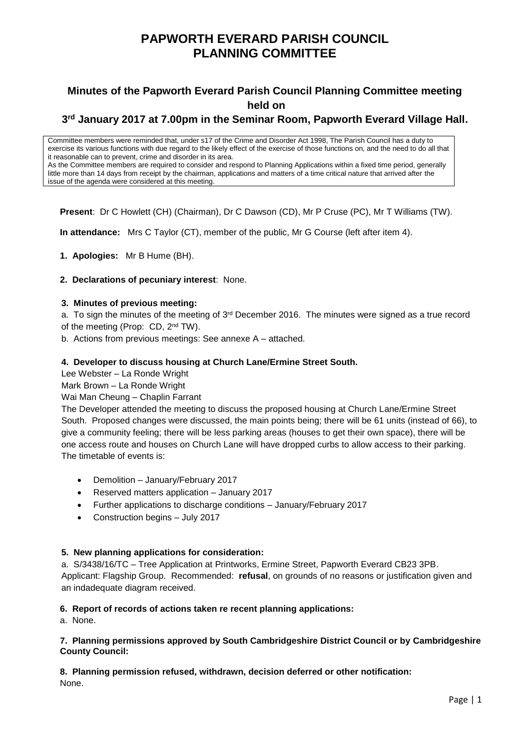## **PAPWORTH EVERARD PARISH COUNCIL PLANNING COMMITTEE**

### **Minutes of the Papworth Everard Parish Council Planning Committee meeting held on**

### **3 rd January 2017 at 7.00pm in the Seminar Room, Papworth Everard Village Hall.**

Committee members were reminded that, under s17 of the Crime and Disorder Act 1998, The Parish Council has a duty to exercise its various functions with due regard to the likely effect of the exercise of those functions on, and the need to do all that it reasonable can to prevent, crime and disorder in its area. As the Committee members are required to consider and respond to Planning Applications within a fixed time period, generally little more than 14 days from receipt by the chairman, applications and matters of a time critical nature that arrived after the issue of the agenda were considered at this meeting.

**Present**: Dr C Howlett (CH) (Chairman), Dr C Dawson (CD), Mr P Cruse (PC), Mr T Williams (TW).

**In attendance:** Mrs C Taylor (CT), member of the public, Mr G Course (left after item 4).

- **1. Apologies:** Mr B Hume (BH).
- **2. Declarations of pecuniary interest**: None.

### **3. Minutes of previous meeting:**

a. To sign the minutes of the meeting of  $3<sup>rd</sup>$  December 2016. The minutes were signed as a true record of the meeting (Prop: CD, 2nd TW).

b. Actions from previous meetings: See annexe A – attached.

### **4. Developer to discuss housing at Church Lane/Ermine Street South.**

Lee Webster – La Ronde Wright

Mark Brown – La Ronde Wright

Wai Man Cheung – Chaplin Farrant

The Developer attended the meeting to discuss the proposed housing at Church Lane/Ermine Street South. Proposed changes were discussed, the main points being; there will be 61 units (instead of 66), to give a community feeling; there will be less parking areas (houses to get their own space), there will be one access route and houses on Church Lane will have dropped curbs to allow access to their parking. The timetable of events is:

- Demolition January/February 2017
- Reserved matters application January 2017
- Further applications to discharge conditions January/February 2017
- Construction begins July 2017

### **5. New planning applications for consideration:**

a. S/3438/16/TC – Tree Application at Printworks, Ermine Street, Papworth Everard CB23 3PB. Applicant: Flagship Group. Recommended: **refusal**, on grounds of no reasons or justification given and an indadequate diagram received.

### **6. Report of records of actions taken re recent planning applications:**

a. None.

### **7. Planning permissions approved by South Cambridgeshire District Council or by Cambridgeshire County Council:**

**8. Planning permission refused, withdrawn, decision deferred or other notification:** None.